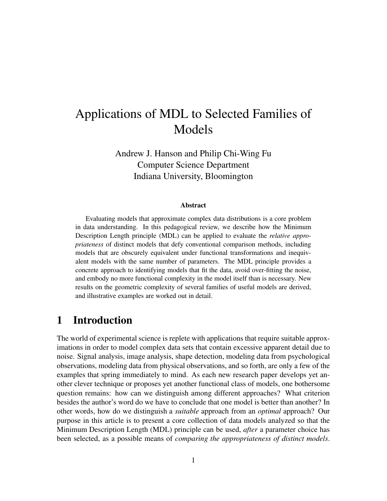# Applications of MDL to Selected Families of Models

Andrew J. Hanson and Philip Chi-Wing Fu Computer Science Department Indiana University, Bloomington

#### **Abstract**

Evaluating models that approximate complex data distributions is a core problem in data understanding. In this pedagogical review, we describe how the Minimum Description Length principle (MDL) can be applied to evaluate the *relative appropriateness* of distinct models that defy conventional comparison methods, including models that are obscurely equivalent under functional transformations and inequivalent models with the same number of parameters. The MDL principle provides a concrete approach to identifying models that fit the data, avoid over-fitting the noise, and embody no more functional complexity in the model itself than is necessary. New results on the geometric complexity of several families of useful models are derived, and illustrative examples are worked out in detail.

#### **1 Introduction**

The world of experimental science is replete with applications that require suitable approximations in order to model complex data sets that contain excessive apparent detail due to noise. Signal analysis, image analysis, shape detection, modeling data from psychological observations, modeling data from physical observations, and so forth, are only a few of the examples that spring immediately to mind. As each new research paper develops yet another clever technique or proposes yet another functional class of models, one bothersome question remains: how can we distinguish among different approaches? What criterion besides the author's word do we have to conclude that one model is better than another? In other words, how do we distinguish a *suitable* approach from an *optimal* approach? Our purpose in this article is to present a core collection of data models analyzed so that the Minimum Description Length (MDL) principle can be used, *after* a parameter choice has been selected, as a possible means of *comparing the appropriateness of distinct models*.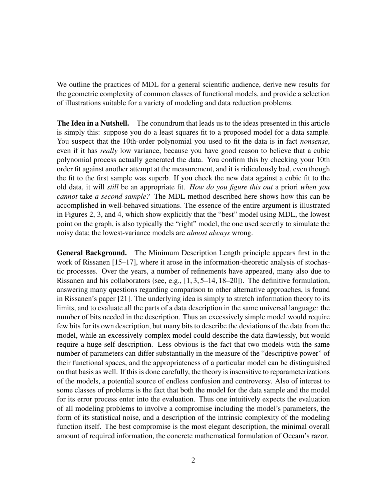We outline the practices of MDL for a general scientific audience, derive new results for the geometric complexity of common classes of functional models, and provide a selection of illustrations suitable for a variety of modeling and data reduction problems.

**The Idea in a Nutshell.** The conundrum that leads us to the ideas presented in this article is simply this: suppose you do a least squares fit to a proposed model for a data sample. You suspect that the 10th-order polynomial you used to fit the data is in fact *nonsense*, even if it has *really* low variance, because you have good reason to believe that a cubic polynomial process actually generated the data. You confirm this by checking your 10th order fit against another attempt at the measurement, and it is ridiculously bad, even though the fit to the first sample was superb. If you check the new data against a cubic fit to the old data, it will *still* be an appropriate fit. *How do you figure this out* a priori *when you cannot* take *a second sample?* The MDL method described here shows how this can be accomplished in well-behaved situations. The essence of the entire argument is illustrated in Figures 2, 3, and 4, which show explicitly that the "best" model using MDL, the lowest point on the graph, is also typically the "right" model, the one used secretly to simulate the noisy data; the lowest-variance models are *almost always* wrong.

**General Background.** The Minimum Description Length principle appears first in the work of Rissanen [15–17], where it arose in the information-theoretic analysis of stochastic processes. Over the years, a number of refinements have appeared, many also due to Rissanen and his collaborators (see, e.g., [1, 3, 5–14, 18–20]). The definitive formulation, answering many questions regarding comparison to other alternative approaches, is found in Rissanen's paper [21]. The underlying idea is simply to stretch information theory to its limits, and to evaluate all the parts of a data description in the same universal language: the number of bits needed in the description. Thus an excessively simple model would require few bits for its own description, but many bits to describe the deviations of the data from the model, while an excessively complex model could describe the data flawlessly, but would require a huge self-description. Less obvious is the fact that two models with the same number of parameters can differ substantially in the measure of the "descriptive power" of their functional spaces, and the appropriateness of a particular model can be distinguished on that basis as well. If this is done carefully, the theory is insensitive to reparameterizations of the models, a potential source of endless confusion and controversy. Also of interest to some classes of problems is the fact that both the model for the data sample and the model for its error process enter into the evaluation. Thus one intuitively expects the evaluation of all modeling problems to involve a compromise including the model's parameters, the form of its statistical noise, and a description of the intrinsic complexity of the modeling function itself. The best compromise is the most elegant description, the minimal overall amount of required information, the concrete mathematical formulation of Occam's razor.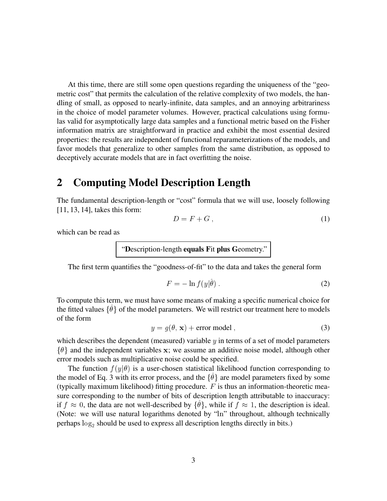At this time, there are still some open questions regarding the uniqueness of the "geometric cost" that permits the calculation of the relative complexity of two models, the handling of small, as opposed to nearly-infinite, data samples, and an annoying arbitrariness in the choice of model parameter volumes. However, practical calculations using formulas valid for asymptotically large data samples and a functional metric based on the Fisher information matrix are straightforward in practice and exhibit the most essential desired properties: the results are independent of functional reparameterizations of the models, and favor models that generalize to other samples from the same distribution, as opposed to deceptively accurate models that are in fact overfitting the noise.

#### **2 Computing Model Description Length**

The fundamental description-length or "cost" formula that we will use, loosely following [11, 13, 14], takes this form:

$$
D = F + G \tag{1}
$$

which can be read as

"**D**escription-length **equals F**it **plus G**eometry."

The first term quantifies the "goodness-of-fit" to the data and takes the general form

$$
F = -\ln f(y|\hat{\theta}).
$$
\n(2)

To compute this term, we must have some means of making a specific numerical choice for the fitted values  $\{\theta\}$  of the model parameters. We will restrict our treatment here to models of the form

$$
y = g(\theta, \mathbf{x}) + \text{error model}, \qquad (3)
$$

which describes the dependent (measured) variable  $y$  in terms of a set of model parameters  $\{\theta\}$  and the independent variables x; we assume an additive noise model, although other error models such as multiplicative noise could be specified.

The function  $f(y|\theta)$  is a user-chosen statistical likelihood function corresponding to the model of Eq. 3 with its error process, and the  $\{\theta\}$  are model parameters fixed by some (typically maximum likelihood) fitting procedure.  $F$  is thus an information-theoretic measure corresponding to the number of bits of description length attributable to inaccuracy: if  $f \approx 0$ , the data are not well-described by  $\{\theta\}$ , while if  $f \approx 1$ , the description is ideal. (Note: we will use natural logarithms denoted by "ln" throughout, although technically perhaps  $log_2$  should be used to express all description lengths directly in bits.)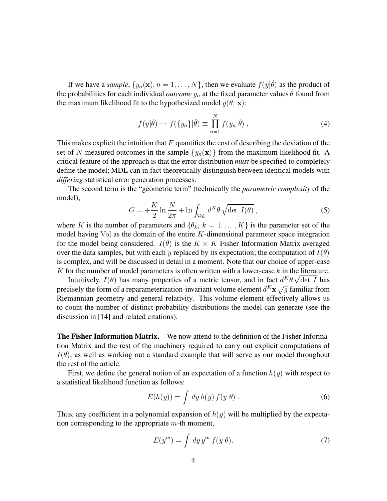If we have a *sample*,  $\{y_n(\mathbf{x}), n = 1, \ldots, N\}$ , then we evaluate  $f(y|\theta)$  as the product of the probabilities for each individual *outcome*  $y_n$  at the fixed parameter values  $\theta$  found from the maximum likelihood fit to the hypothesized model  $q(\theta, x)$ :

$$
f(y|\hat{\theta}) \to f(\lbrace y_n \rbrace |\hat{\theta}) \equiv \prod_{n=1}^{N} f(y_n|\hat{\theta}). \tag{4}
$$

This makes explicit the intuition that  $F$  quantifies the cost of describing the deviation of the set of N measured outcomes in the sample  $\{y_n(\mathbf{x})\}$  from the maximum likelihood fit. A critical feature of the approach is that the error distribution *must* be specified to completely define the model; MDL can in fact theoretically distinguish between identical models with *differing* statistical error generation processes.

The second term is the "geometric term" (technically the *parametric complexity* of the model),

$$
G = +\frac{K}{2}\ln\frac{N}{2\pi} + \ln\int_{\text{Vol}} d^K\theta \sqrt{\det I(\theta)},\tag{5}
$$

where K is the number of parameters and  $\{\theta_k, k = 1, \ldots, K\}$  is the parameter set of the model having Vol as the domain of the entire  $K$ -dimensional parameter space integration for the model being considered.  $I(\theta)$  is the  $K \times K$  Fisher Information Matrix averaged over the data samples, but with each y replaced by its expectation; the computation of  $I(\theta)$ is complex, and will be discussed in detail in a moment. Note that our choice of upper-case K for the number of model parameters is often written with a lower-case  $k$  in the literature.

Intuitively,  $I(\theta)$  has many properties of a metric tensor, and in fact  $d^K\theta \sqrt{\det I}$  has precisely the form of a reparameterization-invariant volume element  $d^K\mathbf{x}\sqrt{g}$  familiar from Riemannian geometry and general relativity. This volume element effectively allows us to count the number of distinct probability distributions the model can generate (see the discussion in [14] and related citations).

**The Fisher Information Matrix.** We now attend to the definition of the Fisher Information Matrix and the rest of the machinery required to carry out explicit computations of  $I(\theta)$ , as well as working out a standard example that will serve as our model throughout the rest of the article.

First, we define the general notion of an expectation of a function  $h(y)$  with respect to a statistical likelihood function as follows:

$$
E(h(y)) = \int dy h(y) f(y|\theta).
$$
 (6)

Thus, any coefficient in a polynomial expansion of  $h(y)$  will be multiplied by the expectation corresponding to the appropriate  $m$ -th moment,

$$
E(y^m) = \int dy \, y^m \, f(y|\theta). \tag{7}
$$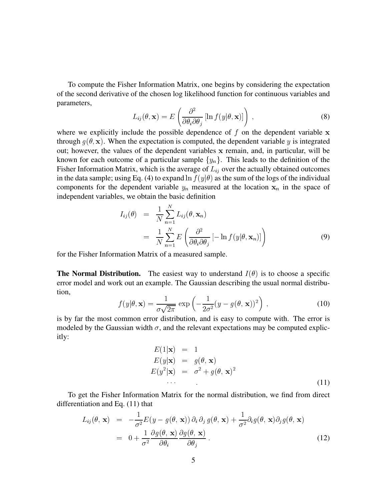To compute the Fisher Information Matrix, one begins by considering the expectation of the second derivative of the chosen log likelihood function for continuous variables and parameters,

$$
L_{ij}(\theta, \mathbf{x}) = E\left(\frac{\partial^2}{\partial \theta_i \partial \theta_j} \left[ \ln f(y|\theta, \mathbf{x}) \right] \right) , \qquad (8)
$$

where we explicitly include the possible dependence of  $f$  on the dependent variable x through  $g(\theta, x)$ . When the expectation is computed, the dependent variable y is integrated out; however, the values of the dependent variables <sup>x</sup> remain, and, in particular, will be known for each outcome of a particular sample  $\{y_n\}$ . This leads to the definition of the Fisher Information Matrix, which is the average of  $L_{ij}$  over the actually obtained outcomes in the data sample; using Eq. (4) to expand  $\ln f(y|\theta)$  as the sum of the logs of the individual components for the dependent variable  $y_n$  measured at the location  $x_n$  in the space of independent variables, we obtain the basic definition

$$
I_{ij}(\theta) = \frac{1}{N} \sum_{n=1}^{N} L_{ij}(\theta, \mathbf{x}_n)
$$
  
= 
$$
\frac{1}{N} \sum_{n=1}^{N} E\left(\frac{\partial^2}{\partial \theta_i \partial \theta_j} \left[-\ln f(y|\theta, \mathbf{x}_n)\right]\right)
$$
(9)

for the Fisher Information Matrix of a measured sample.

**The Normal Distribution.** The easiest way to understand  $I(\theta)$  is to choose a specific error model and work out an example. The Gaussian describing the usual normal distribution,

$$
f(y|\theta, \mathbf{x}) = \frac{1}{\sigma\sqrt{2\pi}} \exp\left(-\frac{1}{2\sigma^2}(y - g(\theta, \mathbf{x}))^2\right),
$$
 (10)

is by far the most common error distribution, and is easy to compute with. The error is modeled by the Gaussian width  $\sigma$ , and the relevant expectations may be computed explicitly:

$$
E(1|\mathbf{x}) = 1
$$
  
\n
$$
E(y|\mathbf{x}) = g(\theta, \mathbf{x})
$$
  
\n
$$
E(y^2|\mathbf{x}) = \sigma^2 + g(\theta, \mathbf{x})^2
$$
  
\n... (11)

To get the Fisher Information Matrix for the normal distribution, we find from direct differentiation and Eq. (11) that

$$
L_{ij}(\theta, \mathbf{x}) = -\frac{1}{\sigma^2} E(y - g(\theta, \mathbf{x})) \partial_i \partial_j g(\theta, \mathbf{x}) + \frac{1}{\sigma^2} \partial_i g(\theta, \mathbf{x}) \partial_j g(\theta, \mathbf{x})
$$
  
= 
$$
0 + \frac{1}{\sigma^2} \frac{\partial g(\theta, \mathbf{x})}{\partial \theta_i} \frac{\partial g(\theta, \mathbf{x})}{\partial \theta_j}.
$$
 (12)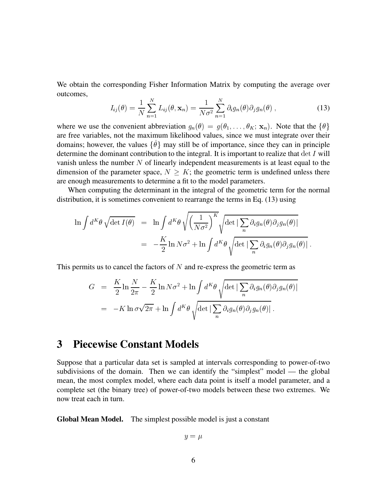We obtain the corresponding Fisher Information Matrix by computing the average over outcomes,

$$
I_{ij}(\theta) = \frac{1}{N} \sum_{n=1}^{N} L_{ij}(\theta, \mathbf{x}_n) = \frac{1}{N\sigma^2} \sum_{n=1}^{N} \partial_i g_n(\theta) \partial_j g_n(\theta) ,
$$
 (13)

where we use the convenient abbreviation  $g_n(\theta) = g(\theta_1, \ldots, \theta_K; \mathbf{x}_n)$ . Note that the  $\{\theta\}$ are free variables, not the maximum likelihood values, since we must integrate over their domains; however, the values  $\{\theta\}$  may still be of importance, since they can in principle determine the dominant contribution to the integral. It is important to realize that  $\det I$  will vanish unless the number  $N$  of linearly independent measurements is at least equal to the dimension of the parameter space,  $N > K$ ; the geometric term is undefined unless there are enough measurements to determine a fit to the model parameters.

When computing the determinant in the integral of the geometric term for the normal distribution, it is sometimes convenient to rearrange the terms in Eq. (13) using

$$
\ln \int d^K \theta \sqrt{\det I(\theta)} = \ln \int d^K \theta \sqrt{\left(\frac{1}{N\sigma^2}\right)^K} \sqrt{\det \left|\sum_n \partial_i g_n(\theta) \partial_j g_n(\theta)\right|}
$$
  
= 
$$
-\frac{K}{2} \ln N\sigma^2 + \ln \int d^K \theta \sqrt{\det \left|\sum_n \partial_i g_n(\theta) \partial_j g_n(\theta)\right|}.
$$

This permits us to cancel the factors of  $N$  and re-express the geometric term as

$$
G = \frac{K}{2} \ln \frac{N}{2\pi} - \frac{K}{2} \ln N \sigma^2 + \ln \int d^K \theta \sqrt{\det \left| \sum_n \partial_i g_n(\theta) \partial_j g_n(\theta) \right|}
$$
  
=  $-K \ln \sigma \sqrt{2\pi} + \ln \int d^K \theta \sqrt{\det \left| \sum_n \partial_i g_n(\theta) \partial_j g_n(\theta) \right|}.$ 

#### **3 Piecewise Constant Models**

Suppose that a particular data set is sampled at intervals corresponding to power-of-two subdivisions of the domain. Then we can identify the "simplest" model — the global mean, the most complex model, where each data point is itself a model parameter, and a complete set (the binary tree) of power-of-two models between these two extremes. We now treat each in turn.

**Global Mean Model.** The simplest possible model is just a constant

$$
y = \mu
$$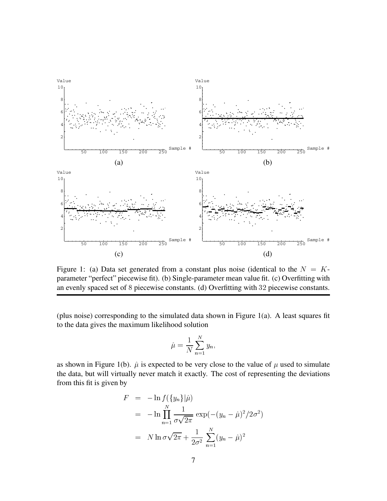

Figure 1: (a) Data set generated from a constant plus noise (identical to the  $N = K$ parameter "perfect" piecewise fit). (b) Single-parameter mean value fit. (c) Overfitting with an evenly spaced set of <sup>8</sup> piecewise constants. (d) Overfitting with <sup>32</sup> piecewise constants.

(plus noise) corresponding to the simulated data shown in Figure 1(a). A least squares fit to the data gives the maximum likelihood solution

$$
\hat{\mu} = \frac{1}{N} \sum_{n=1}^N y_n,
$$

as shown in Figure 1(b).  $\hat{\mu}$  is expected to be very close to the value of  $\mu$  used to simulate the data, but will virtually never match it exactly. The cost of representing the deviations from this fit is given by

$$
F = -\ln f(\lbrace y_n \rbrace | \hat{\mu})
$$
  
=  $-\ln \prod_{n=1}^{N} \frac{1}{\sigma \sqrt{2\pi}} \exp(-(y_n - \hat{\mu})^2 / 2\sigma^2)$   
=  $N \ln \sigma \sqrt{2\pi} + \frac{1}{2\sigma^2} \sum_{n=1}^{N} (y_n - \hat{\mu})^2$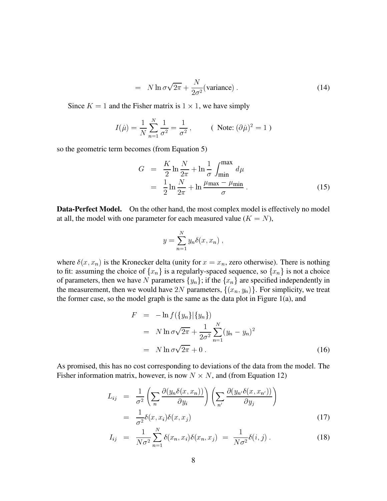$$
= N \ln \sigma \sqrt{2\pi} + \frac{N}{2\sigma^2} \text{(variance)} \tag{14}
$$

Since  $K = 1$  and the Fisher matrix is  $1 \times 1$ , we have simply

$$
I(\hat{\mu}) = \frac{1}{N} \sum_{n=1}^{N} \frac{1}{\sigma^2} = \frac{1}{\sigma^2} , \qquad (\text{ Note: } (\partial \hat{\mu})^2 = 1 )
$$

so the geometric term becomes (from Equation 5)

$$
G = \frac{K}{2} \ln \frac{N}{2\pi} + \ln \frac{1}{\sigma} \int_{\text{min}}^{\text{max}} d\mu
$$
  
= 
$$
\frac{1}{2} \ln \frac{N}{2\pi} + \ln \frac{\mu_{\text{max}} - \mu_{\text{min}}}{\sigma}.
$$
 (15)

**Data-Perfect Model.** On the other hand, the most complex model is effectively no model at all, the model with one parameter for each measured value ( $K = N$ ),

$$
y = \sum_{n=1}^{N} y_n \delta(x, x_n) ,
$$

where  $\delta(x, x_n)$  is the Kronecker delta (unity for  $x = x_n$ , zero otherwise). There is nothing to fit: assuming the choice of  $\{x_n\}$  is a regularly-spaced sequence, so  $\{x_n\}$  is not a choice of parameters, then we have N parameters  $\{y_n\}$ ; if the  $\{x_n\}$  are specified independently in the measurement, then we would have 2N parameters,  $\{(x_n, y_n)\}\$ . For simplicity, we treat the former case, so the model graph is the same as the data plot in Figure 1(a), and

$$
F = -\ln f(\{y_n\}|\{y_n\})
$$
  
=  $N \ln \sigma \sqrt{2\pi} + \frac{1}{2\sigma^2} \sum_{n=1}^N (y_n - y_n)^2$   
=  $N \ln \sigma \sqrt{2\pi} + 0$ . (16)

As promised, this has no cost corresponding to deviations of the data from the model. The Fisher information matrix, however, is now  $N \times N$ , and (from Equation 12)

$$
L_{ij} = \frac{1}{\sigma^2} \left( \sum_n \frac{\partial(y_n \delta(x, x_n))}{\partial y_i} \right) \left( \sum_{n'} \frac{\partial(y_{n'} \delta(x, x_{n'}))}{\partial y_j} \right)
$$
  
= 
$$
\frac{1}{\sigma^2} \delta(x, x_i) \delta(x, x_j)
$$
(17)

$$
I_{ij} = \frac{1}{N\sigma^2} \sum_{n=1}^{N} \delta(x_n, x_i) \delta(x_n, x_j) = \frac{1}{N\sigma^2} \delta(i, j).
$$
 (18)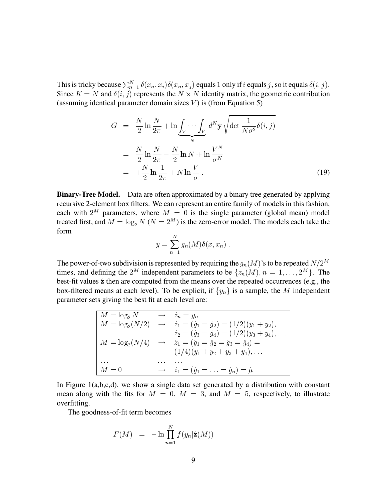This is tricky because  $\sum_{n=1}^{N} \delta(x_n, x_i) \delta(x_n, x_j)$  equals 1 only if i equals j, so it equals  $\delta(i, j)$ . Since  $K = N$  and  $\delta(i, j)$  represents the  $N \times N$  identity matrix, the geometric contribution (assuming identical parameter domain sizes  $V$ ) is (from Equation 5)

$$
G = \frac{N}{2} \ln \frac{N}{2\pi} + \ln \underbrace{\int_V \cdots \int_V}_{N} d^N \mathbf{y} \sqrt{\det \frac{1}{N\sigma^2} \delta(i, j)}
$$
  
\n
$$
= \frac{N}{2} \ln \frac{N}{2\pi} - \frac{N}{2} \ln N + \ln \frac{V^N}{\sigma^N}
$$
  
\n
$$
= +\frac{N}{2} \ln \frac{1}{2\pi} + N \ln \frac{V}{\sigma} .
$$
 (19)

**Binary-Tree Model.** Data are often approximated by a binary tree generated by applying recursive 2-element box filters. We can represent an entire family of models in this fashion, each with  $2^M$  parameters, where  $M = 0$  is the single parameter (global mean) model treated first, and  $M = \log_2 N (N = 2^M)$  is the zero-error model. The models each take the form

$$
y = \sum_{n=1}^{N} g_n(M)\delta(x, x_n) .
$$

The power-of-two subdivision is represented by requiring the  $g_n(M)$ 's to be repeated  $N/2^M$ times, and defining the  $2^M$  independent parameters to be  $\{z_n(M), n = 1, \ldots, 2^M\}$ . The best-fit values  $\hat{z}$  then are computed from the means over the repeated occurrences (e.g., the box-filtered means at each level). To be explicit, if  $\{y_n\}$  is a sample, the M independent parameter sets giving the best fit at each level are:

$$
M = \log_2 N \rightarrow \hat{z}_n = y_n
$$
  
\n
$$
M = \log_2(N/2) \rightarrow \hat{z}_1 = (\hat{g}_1 = \hat{g}_2) = (1/2)(y_1 + y_2),
$$
  
\n
$$
\hat{z}_2 = (\hat{g}_3 = \hat{g}_4) = (1/2)(y_3 + y_4), ...
$$
  
\n
$$
M = \log_2(N/4) \rightarrow \hat{z}_1 = (\hat{g}_1 = \hat{g}_2 = \hat{g}_3 = \hat{g}_4) =
$$
  
\n
$$
(1/4)(y_1 + y_2 + y_3 + y_4), ...
$$
  
\n
$$
\dots \dots
$$
  
\n
$$
M = 0 \rightarrow \hat{z}_1 = (\hat{g}_1 = ... = \hat{g}_n) = \hat{\mu}
$$

In Figure  $1(a,b,c,d)$ , we show a single data set generated by a distribution with constant mean along with the fits for  $M = 0$ ,  $M = 3$ , and  $M = 5$ , respectively, to illustrate overfitting.

The goodness-of-fit term becomes

$$
F(M) = -\ln \prod_{n=1}^{N} f(y_n | \hat{\mathbf{z}}(M))
$$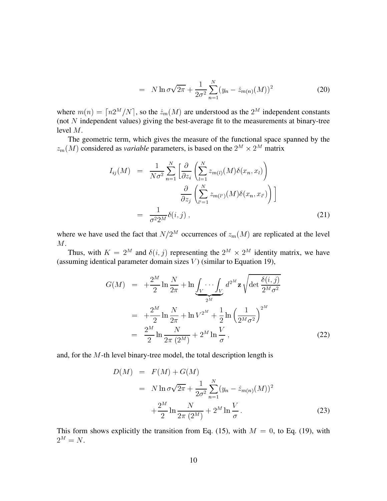$$
= N \ln \sigma \sqrt{2\pi} + \frac{1}{2\sigma^2} \sum_{n=1}^{N} (y_n - \hat{z}_{m(n)}(M))^2
$$
 (20)

where  $m(n) = \lceil n2^M/N \rceil$ , so the  $\hat{z}_m(M)$  are understood as the  $2^M$  independent constants (not  $N$  independent values) giving the best-average fit to the measurements at binary-tree level <sup>M</sup>.

The geometric term, which gives the measure of the functional space spanned by the  $z_m(M)$  considered as *variable* parameters, is based on the  $2^M \times 2^M$  matrix

$$
I_{ij}(M) = \frac{1}{N\sigma^2} \sum_{n=1}^{N} \left[ \frac{\partial}{\partial z_i} \left( \sum_{l=1}^{N} z_{m(l)}(M) \delta(x_n, x_l) \right) \frac{\partial}{\partial z_j} \left( \sum_{l'=1}^{N} z_{m(l')}(M) \delta(x_n, x_{l'}) \right) \right]
$$
  

$$
= \frac{1}{\sigma^2 2^M} \delta(i, j), \qquad (21)
$$

where we have used the fact that  $N/2^M$  occurrences of  $z_m(M)$  are replicated at the level M.

Thus, with  $K = 2^M$  and  $\delta(i, j)$  representing the  $2^M \times 2^M$  identity matrix, we have (assuming identical parameter domain sizes  $V$ ) (similar to Equation 19),

$$
G(M) = +\frac{2^M}{2} \ln \frac{N}{2\pi} + \ln \underbrace{\int_V \cdots \int_V}_{2^M} d^{2^M} \mathbf{z} \sqrt{\det \frac{\delta(i,j)}{2^M \sigma^2}}
$$
  
= 
$$
+\frac{2^M}{2} \ln \frac{N}{2\pi} + \ln V^{2^M} + \frac{1}{2} \ln \left(\frac{1}{2^M \sigma^2}\right)^{2^M}
$$
  
= 
$$
\frac{2^M}{2} \ln \frac{N}{2\pi (2^M)} + 2^M \ln \frac{V}{\sigma},
$$
 (22)

and, for the  $M$ -th level binary-tree model, the total description length is

$$
D(M) = F(M) + G(M)
$$
  
=  $N \ln \sigma \sqrt{2\pi} + \frac{1}{2\sigma^2} \sum_{n=1}^{N} (y_n - \hat{z}_{m(n)}(M))^2$   
+  $\frac{2^M}{2} \ln \frac{N}{2\pi (2^M)} + 2^M \ln \frac{V}{\sigma}$ . (23)

This form shows explicitly the transition from Eq. (15), with  $M = 0$ , to Eq. (19), with  $2^M = N$ .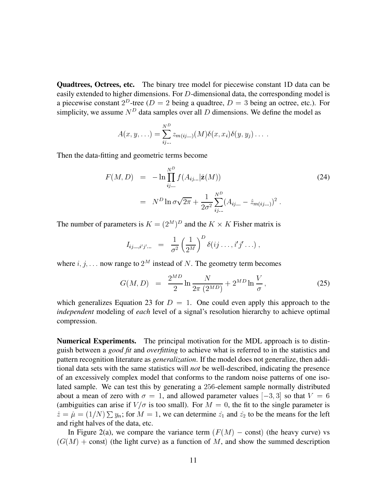**Quadtrees, Octrees, etc.** The binary tree model for piecewise constant 1D data can be easily extended to higher dimensions. For D-dimensional data, the corresponding model is a piecewise constant  $2^D$ -tree ( $D = 2$  being a quadtree,  $D = 3$  being an octree, etc.). For simplicity, we assume  $N<sup>D</sup>$  data samples over all D dimensions. We define the model as

$$
A(x, y, \ldots) = \sum_{ij \ldots}^{N^D} z_{m(ij\ldots)}(M) \delta(x, x_i) \delta(y, y_j) \ldots
$$

Then the data-fitting and geometric terms become

$$
F(M, D) = -\ln \prod_{ij...}^{N^D} f(A_{ij...} | \hat{\mathbf{z}}(M))
$$
  
=  $N^D \ln \sigma \sqrt{2\pi} + \frac{1}{2\sigma^2} \sum_{ij...}^{N^D} (A_{ij...} - \hat{z}_{m(ij...)})^2$ . (24)

The number of parameters is  $K = (2^M)^D$  and the  $K \times K$  Fisher matrix is

$$
I_{ij...,i'j'...} = \frac{1}{\sigma^2} \left(\frac{1}{2^M}\right)^D \delta(ij \ldots, i'j' \ldots) ,
$$

where  $i, j, \ldots$  now range to  $2^M$  instead of N. The geometry term becomes

$$
G(M, D) = \frac{2^{MD}}{2} \ln \frac{N}{2\pi (2^{MD})} + 2^{MD} \ln \frac{V}{\sigma}, \qquad (25)
$$

which generalizes Equation 23 for  $D = 1$ . One could even apply this approach to the *independent* modeling of *each* level of a signal's resolution hierarchy to achieve optimal compression.

**Numerical Experiments.** The principal motivation for the MDL approach is to distinguish between a *good fit* and *overfitting* to achieve what is referred to in the statistics and pattern recognition literature as *generalization*. If the model does not generalize, then additional data sets with the same statistics will *not* be well-described, indicating the presence of an excessively complex model that conforms to the random noise patterns of one isolated sample. We can test this by generating a <sup>256</sup>-element sample normally distributed about a mean of zero with  $\sigma = 1$ , and allowed parameter values  $[-3, 3]$  so that  $V = 6$ (ambiguities can arise if  $V/\sigma$  is too small). For  $M = 0$ , the fit to the single parameter is  $\hat{z} = \hat{\mu} = (1/N) \sum y_n$ ; for  $M = 1$ , we can determine  $\hat{z}_1$  and  $\hat{z}_2$  to be the means for the left and right halves of the data, etc.

In Figure 2(a), we compare the variance term  $(F(M) - const)$  (the heavy curve) vs  $(G(M) + const)$  (the light curve) as a function of M, and show the summed description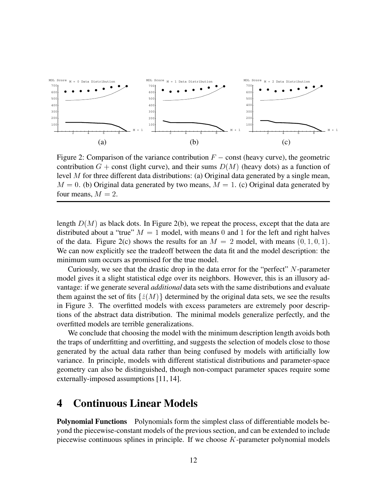

Figure 2: Comparison of the variance contribution  $F -$ const (heavy curve), the geometric contribution  $G$  + const (light curve), and their sums  $D(M)$  (heavy dots) as a function of level M for three different data distributions: (a) Original data generated by a single mean,  $M = 0$ . (b) Original data generated by two means,  $M = 1$ . (c) Original data generated by four means,  $M = 2$ .

length  $D(M)$  as black dots. In Figure 2(b), we repeat the process, except that the data are distributed about a "true"  $M = 1$  model, with means 0 and 1 for the left and right halves of the data. Figure 2(c) shows the results for an  $M = 2$  model, with means  $(0, 1, 0, 1)$ . We can now explicitly see the tradeoff between the data fit and the model description: the minimum sum occurs as promised for the true model.

Curiously, we see that the drastic drop in the data error for the "perfect"  $N$ -parameter model gives it a slight statistical edge over its neighbors. However, this is an illusory advantage: if we generate several *additional* data sets with the same distributions and evaluate them against the set of fits  $\{\hat{z}(M)\}\$  determined by the original data sets, we see the results in Figure 3. The overfitted models with excess parameters are extremely poor descriptions of the abstract data distribution. The minimal models generalize perfectly, and the overfitted models are terrible generalizations.

We conclude that choosing the model with the minimum description length avoids both the traps of underfitting and overfitting, and suggests the selection of models close to those generated by the actual data rather than being confused by models with artificially low variance. In principle, models with different statistical distributions and parameter-space geometry can also be distinguished, though non-compact parameter spaces require some externally-imposed assumptions [11, 14].

### **4 Continuous Linear Models**

**Polynomial Functions** Polynomials form the simplest class of differentiable models beyond the piecewise-constant models of the previous section, and can be extended to include piecewise continuous splines in principle. If we choose  $K$ -parameter polynomial models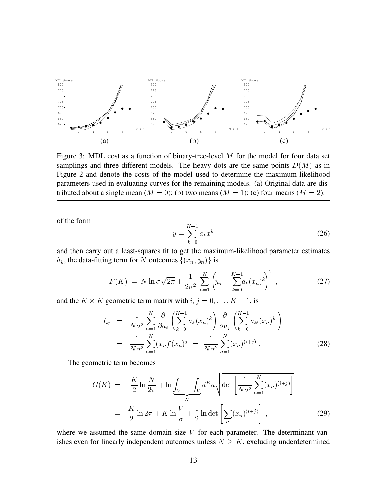

Figure 3: MDL cost as a function of binary-tree-level  $M$  for the model for four data set samplings and three different models. The heavy dots are the same points  $D(M)$  as in Figure 2 and denote the costs of the model used to determine the maximum likelihood parameters used in evaluating curves for the remaining models. (a) Original data are distributed about a single mean  $(M = 0)$ ; (b) two means  $(M = 1)$ ; (c) four means  $(M = 2)$ .

of the form

$$
y = \sum_{k=0}^{K-1} a_k x^k
$$
 (26)

and then carry out a least-squares fit to get the maximum-likelihood parameter estimates  $\hat{a}_k$ , the data-fitting term for N outcomes  $\{(x_n, y_n)\}\$ is

$$
F(K) = N \ln \sigma \sqrt{2\pi} + \frac{1}{2\sigma^2} \sum_{n=1}^{N} \left( y_n - \sum_{k=0}^{K-1} \hat{a}_k (x_n)^k \right)^2 , \qquad (27)
$$

and the  $K \times K$  geometric term matrix with  $i, j = 0, \ldots, K - 1$ , is

$$
I_{ij} = \frac{1}{N\sigma^2} \sum_{n=1}^{N} \frac{\partial}{\partial a_i} \left( \sum_{k=0}^{K-1} a_k (x_n)^k \right) \frac{\partial}{\partial a_j} \left( \sum_{k'=0}^{K-1} a_{k'} (x_n)^{k'} \right)
$$
  

$$
= \frac{1}{N\sigma^2} \sum_{n=1}^{N} (x_n)^i (x_n)^j = \frac{1}{N\sigma^2} \sum_{n=1}^{N} (x_n)^{(i+j)}.
$$
 (28)

<u>video and the contract of the contract of the contract of the contract of the contract of the contract of the contract of the contract of the contract of the contract of the contract of the contract of the contract of the</u>

The geometric term becomes

$$
G(K) = +\frac{K}{2} \ln \frac{N}{2\pi} + \ln \underbrace{\int_V \cdots \int_V d^K a} \sqrt{\det \left[ \frac{1}{N\sigma^2} \sum_{n=1}^N (x_n)^{(i+j)} \right]}
$$
  
=  $-\frac{K}{2} \ln 2\pi + K \ln \frac{V}{\sigma} + \frac{1}{2} \ln \det \left[ \sum_n (x_n)^{(i+j)} \right],$  (29)

where we assumed the same domain size  $V$  for each parameter. The determinant vanishes even for linearly independent outcomes unless  $N \geq K$ , excluding underdetermined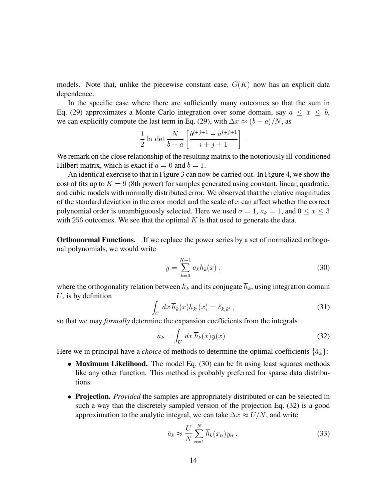models. Note that, unlike the piecewise constant case,  $G(K)$  now has an explicit data dependence.

In the specific case where there are sufficiently many outcomes so that the sum in Eq. (29) approximates a Monte Carlo integration over some domain, say  $a \leq x \leq b$ , we can explicitly compute the last term in Eq. (29), with  $\Delta x \approx (b-a)/N$ , as

$$
\frac{1}{2} \ln \det \frac{N}{b-a} \left[ \frac{b^{i+j+1} - a^{i+j+1}}{i+j+1} \right] .
$$

We remark on the close relationship of the resulting matrix to the notoriously ill-conditioned Hilbert matrix, which is exact if  $a = 0$  and  $b = 1$ .

An identical exercise to that in Figure 3 can now be carried out. In Figure 4, we show the cost of fits up to  $K = 9$  (8th power) for samples generated using constant, linear, quadratic, and cubic models with normally distributed error. We observed that the relative magnitudes of the standard deviation in the error model and the scale of  $x$  can affect whether the correct polynomial order is unambiguously selected. Here we used  $\sigma = 1$ ,  $a_k = 1$ , and  $0 \le x \le 3$ with 256 outcomes. We see that the optimal  $K$  is that used to generate the data.

**Orthonormal Functions.** If we replace the power series by a set of normalized orthogonal polynomials, we would write

$$
y = \sum_{k=0}^{K-1} a_k h_k(x) , \qquad (30)
$$

where the orthogonality relation between  $h_k$  and its conjugate  $\overline{h}_k$ , using integration domain  $U$ , is by definition

$$
\int_{U} dx \, \overline{h}_{k}(x) h_{k'}(x) = \delta_{k,k'} , \qquad (31)
$$

so that we may *formally* determine the expansion coefficients from the integrals

$$
a_k = \int_U dx \, \overline{h}_k(x) y(x) \,. \tag{32}
$$

Here we in principal have a *choice* of methods to determine the optimal coefficients  $\{\hat{a}_k\}$ :

- **Maximum Likelihood.** The model Eq. (30) can be fit using least squares methods like any other function. This method is probably preferred for sparse data distributions.
- **Projection.** *Provided* the samples are appropriately distributed or can be selected in such a way that the discretely sampled version of the projection Eq. (32) is a good approximation to the analytic integral, we can take  $\Delta x \approx U/N$ , and write

$$
\hat{a}_k \approx \frac{U}{N} \sum_{n=1}^N \overline{h}_k(x_n) y_n . \tag{33}
$$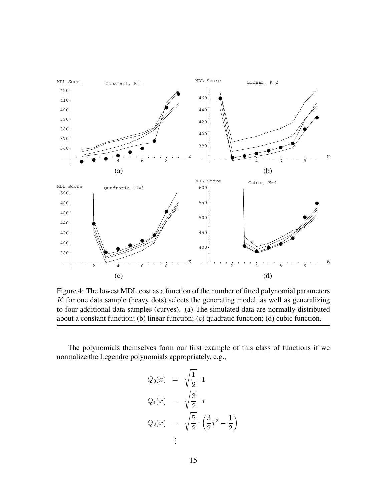

Figure 4: The lowest MDL cost as a function of the number of fitted polynomial parameters  $K$  for one data sample (heavy dots) selects the generating model, as well as generalizing to four additional data samples (curves). (a) The simulated data are normally distributed about a constant function; (b) linear function; (c) quadratic function; (d) cubic function.

The polynomials themselves form our first example of this class of functions if we normalize the Legendre polynomials appropriately, e.g.,

$$
Q_0(x) = \sqrt{\frac{1}{2}} \cdot 1
$$
  
\n
$$
Q_1(x) = \sqrt{\frac{3}{2}} \cdot x
$$
  
\n
$$
Q_2(x) = \sqrt{\frac{5}{2}} \cdot \left(\frac{3}{2}x^2 - \frac{1}{2}\right)
$$
  
\n
$$
\vdots
$$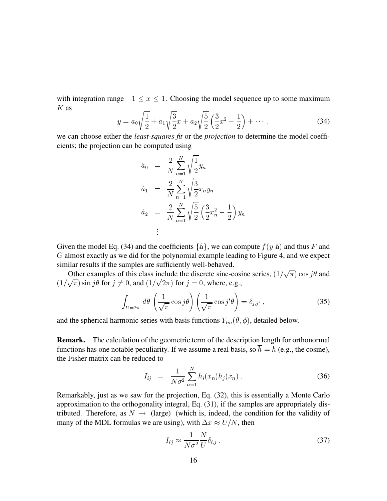with integration range  $-1 \le x \le 1$ . Choosing the model sequence up to some maximum  $K$  as

$$
y = a_0 \sqrt{\frac{1}{2}} + a_1 \sqrt{\frac{3}{2}} x + a_2 \sqrt{\frac{5}{2}} \left(\frac{3}{2} x^2 - \frac{1}{2}\right) + \cdots,
$$
 (34)

we can choose either the *least-squares fit* or the *projection* to determine the model coefficients; the projection can be computed using

$$
\hat{a}_0 = \frac{2}{N} \sum_{n=1}^{N} \sqrt{\frac{1}{2}} y_n
$$
\n
$$
\hat{a}_1 = \frac{2}{N} \sum_{n=1}^{N} \sqrt{\frac{3}{2}} x_n y_n
$$
\n
$$
\hat{a}_2 = \frac{2}{N} \sum_{n=1}^{N} \sqrt{\frac{5}{2}} \left(\frac{3}{2} x_n^2 - \frac{1}{2}\right) y_n
$$
\n
$$
\vdots
$$

Given the model Eq. (34) and the coefficients  $\{\hat{\mathbf{a}}\}$ , we can compute  $f (y|\hat{\mathbf{a}})$  and thus F and G almost exactly as we did for the polynomial example leading to Figure 4, and we expect similar results if the samples are sufficiently well-behaved.

Other examples of this class include the discrete sine-cosine series,  $(1/\sqrt{\pi}) \cos j\theta$  and  $(1/\sqrt{\pi}) \sin j\theta$  for  $j \neq 0$ , and  $(1/\sqrt{2\pi})$  for  $j = 0$ , where, e.g.,

$$
\int_{U=2\pi} d\theta \left(\frac{1}{\sqrt{\pi}} \cos j\theta\right) \left(\frac{1}{\sqrt{\pi}} \cos j'\theta\right) = \delta_{j,j'} , \qquad (35)
$$

and the spherical harmonic series with basis functions  $Y_{lm}(\theta, \phi)$ , detailed below.

**Remark.** The calculation of the geometric term of the description length for orthonormal functions has one notable peculiarity. If we assume a real basis, so  $\overline{h} = h$  (e.g., the cosine), the Fisher matrix can be reduced to

$$
I_{ij} = \frac{1}{N\sigma^2} \sum_{n=1}^{N} h_i(x_n) h_j(x_n) \,. \tag{36}
$$

Remarkably, just as we saw for the projection, Eq. (32), this is essentially a Monte Carlo approximation to the orthogonality integral, Eq. (31), if the samples are appropriately distributed. Therefore, as  $N \rightarrow$  (large) (which is, indeed, the condition for the validity of many of the MDL formulas we are using), with  $\Delta x \approx U/N$ , then

$$
I_{ij} \approx \frac{1}{N\sigma^2} \frac{N}{U} \delta_{i,j} \tag{37}
$$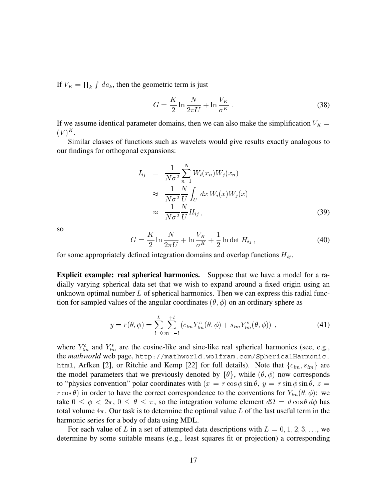If  $V_K = \prod_k \int da_k$ , then the geometric term is just

$$
G = \frac{K}{2} \ln \frac{N}{2\pi U} + \ln \frac{V_K}{\sigma^K} \,. \tag{38}
$$

If we assume identical parameter domains, then we can also make the simplification  $V_K$  =  $(V)^K$ .

Similar classes of functions such as wavelets would give results exactly analogous to our findings for orthogonal expansions:

$$
I_{ij} = \frac{1}{N\sigma^2} \sum_{n=1}^{N} W_i(x_n) W_j(x_n)
$$
  
\n
$$
\approx \frac{1}{N\sigma^2} \frac{N}{U} \int_U dx W_i(x) W_j(x)
$$
  
\n
$$
\approx \frac{1}{N\sigma^2} \frac{N}{U} H_{ij},
$$
\n(39)

so

$$
G = \frac{K}{2} \ln \frac{N}{2\pi U} + \ln \frac{V_K}{\sigma^K} + \frac{1}{2} \ln \det H_{ij} \,, \tag{40}
$$

for some appropriately defined integration domains and overlap functions  $H_{ij}$ .

**Explicit example: real spherical harmonics.** Suppose that we have a model for a radially varying spherical data set that we wish to expand around a fixed origin using an unknown optimal number  $L$  of spherical harmonics. Then we can express this radial function for sampled values of the angular coordinates  $(\theta, \phi)$  on an ordinary sphere as

$$
y = r(\theta, \phi) = \sum_{l=0}^{L} \sum_{m=-l}^{+l} (c_{lm} Y_{lm}^c(\theta, \phi) + s_{lm} Y_{lm}^s(\theta, \phi)) ,
$$
 (41)

where  $Y_{lm}^c$  and  $Y_{lm}^s$  are the cosine-like and sine-like real spherical harmonics (see, e.g., the *mathworld* web page, http://mathworld.wolfram.com/SphericalHarmonic. html, Arfken [2], or Ritchie and Kemp [22] for full details). Note that  $\{c_{lm}, s_{lm}\}$  are the model parameters that we previously denoted by  $\{\theta\}$ , while  $(\theta, \phi)$  now corresponds to "physics convention" polar coordinates with  $(x = r \cos \phi \sin \theta, y = r \sin \phi \sin \theta, z =$  $r \cos \theta$ ) in order to have the correct correspondence to the conventions for  $Y_{lm}(\theta, \phi)$ : we take  $0 \le \phi < 2\pi$ ,  $0 \le \theta \le \pi$ , so the integration volume element  $d\Omega = d\cos\theta \, d\phi$  has total volume  $4\pi$ . Our task is to determine the optimal value L of the last useful term in the harmonic series for a body of data using MDL.

For each value of L in a set of attempted data descriptions with  $L = 0, 1, 2, 3, \ldots$ , we determine by some suitable means (e.g., least squares fit or projection) a corresponding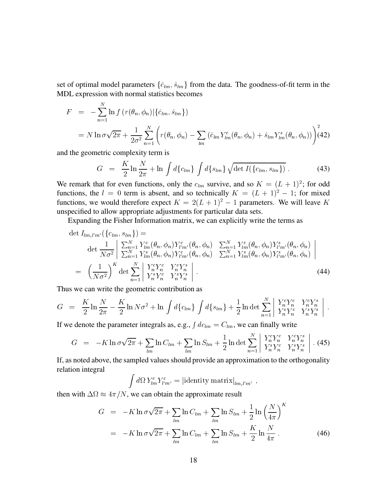set of optimal model parameters  $\{\hat{c}_{lm}, \hat{s}_{lm}\}$  from the data. The goodness-of-fit term in the MDL expression with normal statistics becomes

$$
F = -\sum_{n=1}^{N} \ln f \left( r(\theta_n, \phi_n) | \{\hat{c}_{lm}, \hat{s}_{lm}\} \right)
$$
  
=  $N \ln \sigma \sqrt{2\pi} + \frac{1}{2\sigma^2} \sum_{n=1}^{N} \left( r(\theta_n, \phi_n) - \sum_{lm} (\hat{c}_{lm} Y_{lm}^c(\theta_n, \phi_n) + \hat{s}_{lm} Y_{lm}^s(\theta_n, \phi_n)) \right)^2$ (42)

and the geometric complexity term is

$$
G = \frac{K}{2} \ln \frac{N}{2\pi} + \ln \int d\{c_{lm}\} \int d\{s_{lm}\} \sqrt{\det I(\{c_{lm}, s_{lm}\})} \,. \tag{43}
$$

We remark that for even functions, only the  $c_{lm}$  survive, and so  $K = (L + 1)^2$ ; for odd functions, the  $l = 0$  term is absent, and so technically  $K = (L + 1)^2 - 1$ ; for mixed functions, we would therefore expect  $K = 2(L + 1)^2 - 1$  parameters. We will leave K unspecified to allow appropriate adjustments for particular data sets.

Expanding the Fisher Information matrix, we can explicitly write the terms as

$$
\det I_{lm,l'm'}(\lbrace c_{lm}, s_{lm} \rbrace) = \n\det \frac{1}{N\sigma^2} \left| \sum_{n=1}^{N} Y_{lm}^c(\theta_n, \phi_n) Y_{l'm'}^c(\theta_n, \phi_n) \right| \sum_{n=1}^{N} Y_{lm}^c(\theta_n, \phi_n) Y_{l'm'}^s(\theta_n, \phi_n) \n= \left( \frac{1}{N\sigma^2} \right)^K \det \sum_{n=1}^{N} \left| \frac{Y_{n}^{c} Y_{n}^c}{Y_{n}^{s} Y_{n}^c} \right| Y_{n}^{c} Y_{n}^{s} \left| \right. \n\tag{44}
$$

Thus we can write the geometric contribution as

$$
G = \frac{K}{2} \ln \frac{N}{2\pi} - \frac{K}{2} \ln N \sigma^2 + \ln \int d\{c_{lm}\} \int d\{s_{lm}\} + \frac{1}{2} \ln \det \sum_{n=1}^{N} \left| \frac{Y_n^c Y_n^c}{Y_n^s Y_n^c} \frac{Y_n^c Y_n^s}{Y_n^s Y_n^s} \right|.
$$

If we denote the parameter integrals as, e.g.,  $\int dc_{lm} = C_{lm}$ , we can finally write

$$
G = -K \ln \sigma \sqrt{2\pi} + \sum_{lm} \ln C_{lm} + \sum_{lm} \ln S_{lm} + \frac{1}{2} \ln \det \sum_{n=1}^{N} \left| \frac{Y_n^c Y_n^c}{Y_n^s Y_n^c} \frac{Y_n^c Y_n^s}{Y_n^s Y_n^s} \right| . (45)
$$

If, as noted above, the sampled values should provide an approximation to the orthogonality relation integral

$$
\int d\Omega\, Y^c_{lm}Y^c_{l'm'}=\left|\textrm{identity matrix}\right|_{lm,l'm'}\,,
$$

then with  $\Delta \Omega \approx 4\pi/N$ , we can obtain the approximate result

z za zapisani konzulstva na obispo na stanovni konzulstva na obispo na obispo na stali stanovni konzulstva na

$$
G = -K \ln \sigma \sqrt{2\pi} + \sum_{lm} \ln C_{lm} + \sum_{lm} \ln S_{lm} + \frac{1}{2} \ln \left(\frac{N}{4\pi}\right)^{k}
$$
  
=  $-K \ln \sigma \sqrt{2\pi} + \sum_{lm} \ln C_{lm} + \sum_{lm} \ln S_{lm} + \frac{K}{2} \ln \frac{N}{4\pi}$ . (46)

 $\mathbf{r}$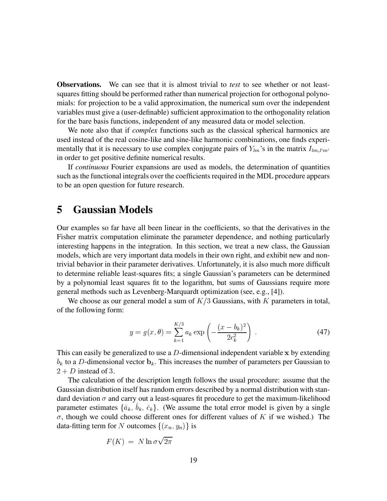**Observations.** We can see that it is almost trivial to *test* to see whether or not leastsquares fitting should be performed rather than numerical projection for orthogonal polynomials: for projection to be a valid approximation, the numerical sum over the independent variables must give a (user-definable) sufficient approximation to the orthogonality relation for the bare basis functions, independent of any measured data or model selection.

We note also that if *complex* functions such as the classical spherical harmonics are used instead of the real cosine-like and sine-like harmonic combinations, one finds experimentally that it is necessary to use complex conjugate pairs of  $Y_{lm}$ 's in the matrix  $I_{lm,l'm'}$ in order to get positive definite numerical results.

If *continuous* Fourier expansions are used as models, the determination of quantities such as the functional integrals over the coefficients required in the MDL procedure appears to be an open question for future research.

#### **5 Gaussian Models**

Our examples so far have all been linear in the coefficients, so that the derivatives in the Fisher matrix computation eliminate the parameter dependence, and nothing particularly interesting happens in the integration. In this section, we treat a new class, the Gaussian models, which are very important data models in their own right, and exhibit new and nontrivial behavior in their parameter derivatives. Unfortunately, it is also much more difficult to determine reliable least-squares fits; a single Gaussian's parameters can be determined by a polynomial least squares fit to the logarithm, but sums of Gaussians require more general methods such as Levenberg-Marquardt optimization (see, e.g., [4]).

We choose as our general model a sum of  $K/3$  Gaussians, with K parameters in total, of the following form:

$$
y = g(x, \theta) = \sum_{k=1}^{K/3} a_k \exp\left(-\frac{(x - b_k)^2}{2c_k^2}\right) \,. \tag{47}
$$

This can easily be generalized to use a  $D$ -dimensional independent variable x by extending  $b_k$  to a D-dimensional vector  $\mathbf{b}_k$ . This increases the number of parameters per Gaussian to  $2 + D$  instead of 3.

The calculation of the description length follows the usual procedure: assume that the Gaussian distribution itself has random errors described by a normal distribution with standard deviation  $\sigma$  and carry out a least-squares fit procedure to get the maximum-likelihood parameter estimates  $\{\hat{a}_k, b_k, \hat{c}_k\}$ . (We assume the total error model is given by a single  $\sigma$ , though we could choose different ones for different values of K if we wished.) The data-fitting term for N outcomes  $\{(x_n, y_n)\}\$ is

$$
F(K) = N \ln \sigma \sqrt{2\pi}
$$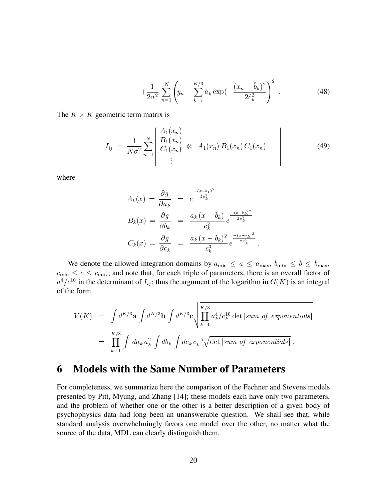$$
+\frac{1}{2\sigma^2}\sum_{n=1}^N\left(y_n-\sum_{k=1}^{K/3}\hat{a}_k\exp(-\frac{(x_n-\hat{b}_k)^2}{2\hat{c}_k^2}\right)^2.
$$
 (48)

The  $K \times K$  geometric term matrix is

$$
I_{ij} = \frac{1}{N\sigma^2} \sum_{n=1}^{N} \begin{vmatrix} A_1(x_n) \\ B_1(x_n) \\ C_1(x_n) \otimes A_1(x_n) B_1(x_n) C_1(x_n) \dots \\ \vdots \end{vmatrix}
$$
 (49)

where

$$
A_k(x) = \frac{\partial g}{\partial a_k} = e^{\frac{-(x-b_k)^2}{2c_k^2}}
$$
  
\n
$$
B_k(x) = \frac{\partial g}{\partial b_k} = \frac{a_k (x-b_k)}{c_k^2} e^{\frac{-(x-b_k)^2}{2c_k^2}}
$$
  
\n
$$
C_k(x) = \frac{\partial g}{\partial c_k} = \frac{a_k (x-b_k)^2}{c_k^3} e^{\frac{-(x-b_k)^2}{2c_k^2}}.
$$

We denote the allowed integration domains by  $a_{\min} \le a \le a_{\max}$ ,  $b_{\min} \le b \le b_{\max}$ ,  $c_{\min} \le c \le c_{\max}$ , and note that, for each triple of parameters, there is an overall factor of  $a^4/c^{10}$  in the determinant of  $I_{ij}$ ; thus the argument of the logarithm in  $G(K)$  is an integral of the form

v

$$
V(K) = \int d^{K/3} \mathbf{a} \int d^{K/3} \mathbf{b} \int d^{K/3} \mathbf{c} \sqrt{\prod_{k=1}^{K/3} a_k^4 / c_k^{10}} \det |\text{sum of exponentials}|
$$
  
= 
$$
\prod_{k=1}^{K/3} \int da_k a_k^2 \int db_k \int dc_k c_k^{-5} \sqrt{\det |\text{sum of exponentials}|}.
$$

#### **6 Models with the Same Number of Parameters**

For completeness, we summarize here the comparison of the Fechner and Stevens models presented by Pitt, Myung, and Zhang [14]; these models each have only two parameters, and the problem of whether one or the other is a better description of a given body of psychophysics data had long been an unanswerable question. We shall see that, while standard analysis overwhelmingly favors one model over the other, no matter what the source of the data, MDL can clearly distinguish them.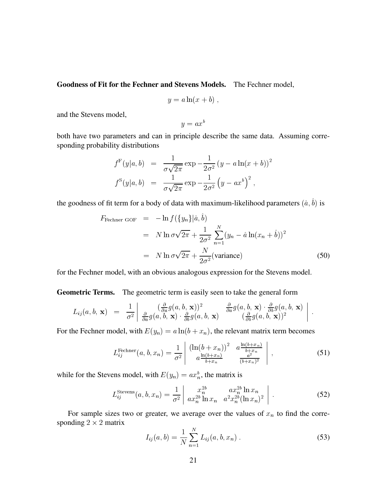**Goodness of Fit for the Fechner and Stevens Models.** The Fechner model,

$$
y = a \ln(x + b) ,
$$

and the Stevens model,

$$
y = ax^b
$$

both have two parameters and can in principle describe the same data. Assuming corresponding probability distributions

$$
f^{F}(y|a, b) = \frac{1}{\sigma\sqrt{2\pi}} \exp{-\frac{1}{2\sigma^{2}}(y - a\ln(x + b))^{2}}
$$

$$
f^{S}(y|a, b) = \frac{1}{\sigma\sqrt{2\pi}} \exp{-\frac{1}{2\sigma^{2}}(y - ax^{b})^{2}},
$$

the goodness of fit term for a body of data with maximum-likelihood parameters  $(\hat{a}, b)$  is

$$
F_{\text{Fechner GOF}} = -\ln f(\lbrace y_n \rbrace | \hat{a}, \hat{b})
$$
  
=  $N \ln \sigma \sqrt{2\pi} + \frac{1}{2\sigma^2} \sum_{n=1}^{N} (y_n - \hat{a} \ln(x_n + \hat{b}))^2$   
=  $N \ln \sigma \sqrt{2\pi} + \frac{N}{2\sigma^2}$  (variance) (50)

for the Fechner model, with an obvious analogous expression for the Stevens model.

**Geometric Terms.** The geometric term is easily seen to take the general form

$$
L_{ij}(a,b,\,{\bf x})\;\;=\;\;\frac{1}{\sigma^2}\left|\begin{array}{cc} (\frac{\partial}{\partial a}g(a,b,\,{\bf x}))^2 & \frac{\partial}{\partial a}g(a,b,\,{\bf x})\cdot\frac{\partial}{\partial b}g(a,b,\,{\bf x})\\ \frac{\partial}{\partial a}g(a,b,\,{\bf x})\cdot\frac{\partial}{\partial b}g(a,b,\,{\bf x}) & (\frac{\partial}{\partial b}g(a,b,\,{\bf x}))^2 \end{array}\right|\;.
$$

For the Fechner model, with  $E(y_n) = a \ln(b + x_n)$ , the relevant matrix term becomes

$$
L_{ij}^{\text{Fechner}}(a, b, x_n) = \frac{1}{\sigma^2} \begin{vmatrix} (\ln(b + x_n))^2 & a \frac{\ln(b + x_n)}{b + x_n} \\ a \frac{\ln(b + x_n)}{b + x_n} & \frac{a^2}{(b + x_n)^2} \end{vmatrix},
$$
 (51)

while for the Stevens model, with  $E(y_n) = a x_n^b$ , the matrix is

$$
L_{ij}^{\text{Stevens}}(a, b, x_n) = \frac{1}{\sigma^2} \begin{vmatrix} x_n^{2b} & a x_n^{2b} \ln x_n \\ a x_n^{2b} \ln x_n & a^2 x_n^{2b} (\ln x_n)^2 \end{vmatrix} . \tag{52}
$$

For sample sizes two or greater, we average over the values of  $x_n$  to find the corresponding  $2 \times 2$  matrix

$$
I_{ij}(a,b) = \frac{1}{N} \sum_{n=1}^{N} L_{ij}(a,b,x_n).
$$
 (53)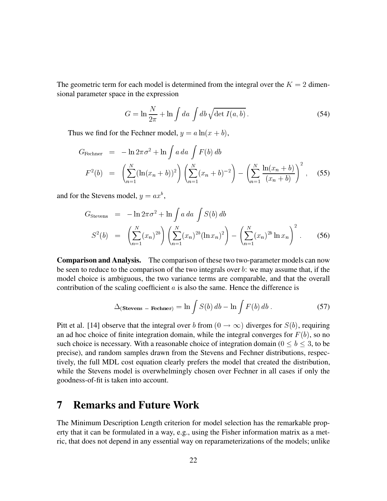The geometric term for each model is determined from the integral over the  $K = 2$  dimensional parameter space in the expression

$$
G = \ln \frac{N}{2\pi} + \ln \int da \int db \sqrt{\det I(a, b)}.
$$
 (54)

Thus we find for the Fechner model,  $y = a \ln(x + b)$ ,

$$
G_{\text{Fechner}} = -\ln 2\pi \sigma^2 + \ln \int a \, da \int F(b) \, db
$$
\n
$$
F^2(b) = \left(\sum_{n=1}^N (\ln(x_n + b))^2\right) \left(\sum_{n=1}^N (x_n + b)^{-2}\right) - \left(\sum_{n=1}^N \frac{\ln(x_n + b)}{(x_n + b)}\right)^2, \quad (55)
$$

and for the Stevens model,  $y = ax^b$ ,

$$
G_{\text{Stevens}} = -\ln 2\pi \sigma^2 + \ln \int a \, da \int S(b) \, db
$$
  

$$
S^2(b) = \left(\sum_{n=1}^N (x_n)^{2b}\right) \left(\sum_{n=1}^N (x_n)^{2b} (\ln x_n)^2\right) - \left(\sum_{n=1}^N (x_n)^{2b} \ln x_n\right)^2.
$$
 (56)

**Comparison and Analysis.** The comparison of these two two-parameter models can now be seen to reduce to the comparison of the two integrals over  $b$ : we may assume that, if the model choice is ambiguous, the two variance terms are comparable, and that the overall contribution of the scaling coefficient  $a$  is also the same. Hence the difference is

$$
\Delta_{(\text{Stevens} - \text{Fechner})} = \ln \int S(b) \, db - \ln \int F(b) \, db \,. \tag{57}
$$

Pitt et al. [14] observe that the integral over b from  $(0 \rightarrow \infty)$  diverges for  $S(b)$ , requiring an ad hoc choice of finite integration domain, while the integral converges for  $F(b)$ , so no such choice is necessary. With a reasonable choice of integration domain ( $0 \le b \le 3$ , to be precise), and random samples drawn from the Stevens and Fechner distributions, respectively, the full MDL cost equation clearly prefers the model that created the distribution, while the Stevens model is overwhelmingly chosen over Fechner in all cases if only the goodness-of-fit is taken into account.

## **7 Remarks and Future Work**

The Minimum Description Length criterion for model selection has the remarkable property that it can be formulated in a way, e.g., using the Fisher information matrix as a metric, that does not depend in any essential way on reparameterizations of the models; unlike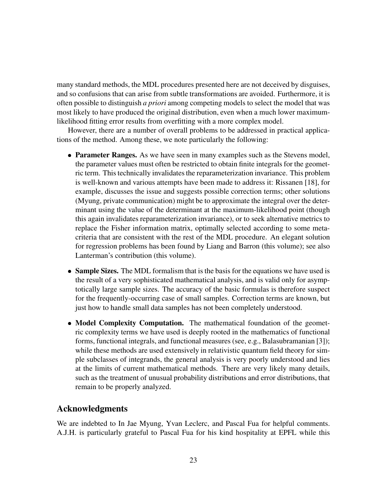many standard methods, the MDL procedures presented here are not deceived by disguises, and so confusions that can arise from subtle transformations are avoided. Furthermore, it is often possible to distinguish *a priori* among competing models to select the model that was most likely to have produced the original distribution, even when a much lower maximumlikelihood fitting error results from overfitting with a more complex model.

However, there are a number of overall problems to be addressed in practical applications of the method. Among these, we note particularly the following:

- **Parameter Ranges.** As we have seen in many examples such as the Stevens model, the parameter values must often be restricted to obtain finite integrals for the geometric term. This technically invalidates the reparameterization invariance. This problem is well-known and various attempts have been made to address it: Rissanen [18], for example, discusses the issue and suggests possible correction terms; other solutions (Myung, private communication) might be to approximate the integral over the determinant using the value of the determinant at the maximum-likelihood point (though this again invalidates reparameterization invariance), or to seek alternative metrics to replace the Fisher information matrix, optimally selected according to some metacriteria that are consistent with the rest of the MDL procedure. An elegant solution for regression problems has been found by Liang and Barron (this volume); see also Lanterman's contribution (this volume).
- **Sample Sizes.** The MDL formalism that is the basis for the equations we have used is the result of a very sophisticated mathematical analysis, and is valid only for asymptotically large sample sizes. The accuracy of the basic formulas is therefore suspect for the frequently-occurring case of small samples. Correction terms are known, but just how to handle small data samples has not been completely understood.
- **Model Complexity Computation.** The mathematical foundation of the geometric complexity terms we have used is deeply rooted in the mathematics of functional forms, functional integrals, and functional measures (see, e.g., Balasubramanian [3]); while these methods are used extensively in relativistic quantum field theory for simple subclasses of integrands, the general analysis is very poorly understood and lies at the limits of current mathematical methods. There are very likely many details, such as the treatment of unusual probability distributions and error distributions, that remain to be properly analyzed.

#### **Acknowledgments**

We are indebted to In Jae Myung, Yvan Leclerc, and Pascal Fua for helpful comments. A.J.H. is particularly grateful to Pascal Fua for his kind hospitality at EPFL while this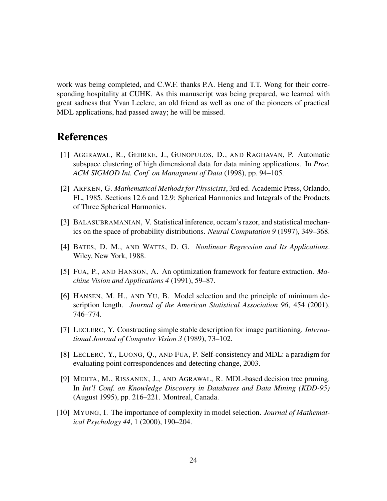work was being completed, and C.W.F. thanks P.A. Heng and T.T. Wong for their corresponding hospitality at CUHK. As this manuscript was being prepared, we learned with great sadness that Yvan Leclerc, an old friend as well as one of the pioneers of practical MDL applications, had passed away; he will be missed.

#### **References**

- [1] AGGRAWAL, R., GEHRKE, J., GUNOPULOS, D., AND RAGHAVAN, P. Automatic subspace clustering of high dimensional data for data mining applications. In *Proc. ACM SIGMOD Int. Conf. on Managment of Data* (1998), pp. 94–105.
- [2] ARFKEN, G. *Mathematical Methods for Physicists*, 3rd ed. Academic Press, Orlando, FL, 1985. Sections 12.6 and 12.9: Spherical Harmonics and Integrals of the Products of Three Spherical Harmonics.
- [3] BALASUBRAMANIAN, V. Statistical inference, occam's razor, and statistical mechanics on the space of probability distributions. *Neural Computation 9* (1997), 349–368.
- [4] BATES, D. M., AND WATTS, D. G. *Nonlinear Regression and Its Applications*. Wiley, New York, 1988.
- [5] FUA, P., AND HANSON, A. An optimization framework for feature extraction. *Machine Vision and Applications 4* (1991), 59–87.
- [6] HANSEN, M. H., AND YU, B. Model selection and the principle of minimum description length. *Journal of the American Statistical Association 96*, 454 (2001), 746–774.
- [7] LECLERC, Y. Constructing simple stable description for image partitioning. *International Journal of Computer Vision 3* (1989), 73–102.
- [8] LECLERC, Y., LUONG, Q., AND FUA, P. Self-consistency and MDL: a paradigm for evaluating point correspondences and detecting change, 2003.
- [9] MEHTA, M., RISSANEN, J., AND AGRAWAL, R. MDL-based decision tree pruning. In *Int'l Conf. on Knowledge Discovery in Databases and Data Mining (KDD-95)* (August 1995), pp. 216–221. Montreal, Canada.
- [10] MYUNG, I. The importance of complexity in model selection. *Journal of Mathematical Psychology 44*, 1 (2000), 190–204.